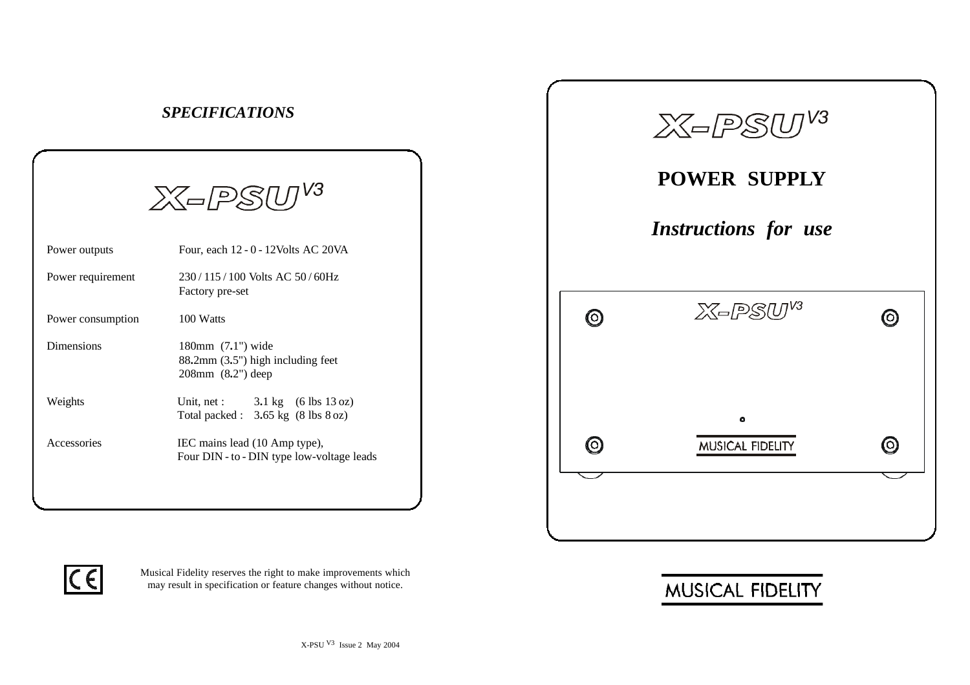|                   | $X = PSUJV3$                                                                                |
|-------------------|---------------------------------------------------------------------------------------------|
| Power outputs     | Four, each 12 - 0 - 12 Volts AC 20 VA                                                       |
| Power requirement | 230/115/100 Volts AC 50/60Hz<br>Factory pre-set                                             |
| Power consumption | 100 Watts                                                                                   |
| <b>Dimensions</b> | 180mm (7.1") wide<br>88.2mm (3.5") high including feet<br>208mm (8.2") deep                 |
| Weights           | Unit, net : $3.1 \text{ kg}$ (6 lbs 13 oz)<br>Total packed : $3.65 \text{ kg}$ (8 lbs 8 oz) |
| Accessories       | IEC mains lead (10 Amp type),<br>Four DIN - to - DIN type low-voltage leads                 |

*SPECIFICATIONS*





Musical Fidelity reserves the right to make improvements which may result in specification or feature changes without notice.

## MUSICAL FIDELITY